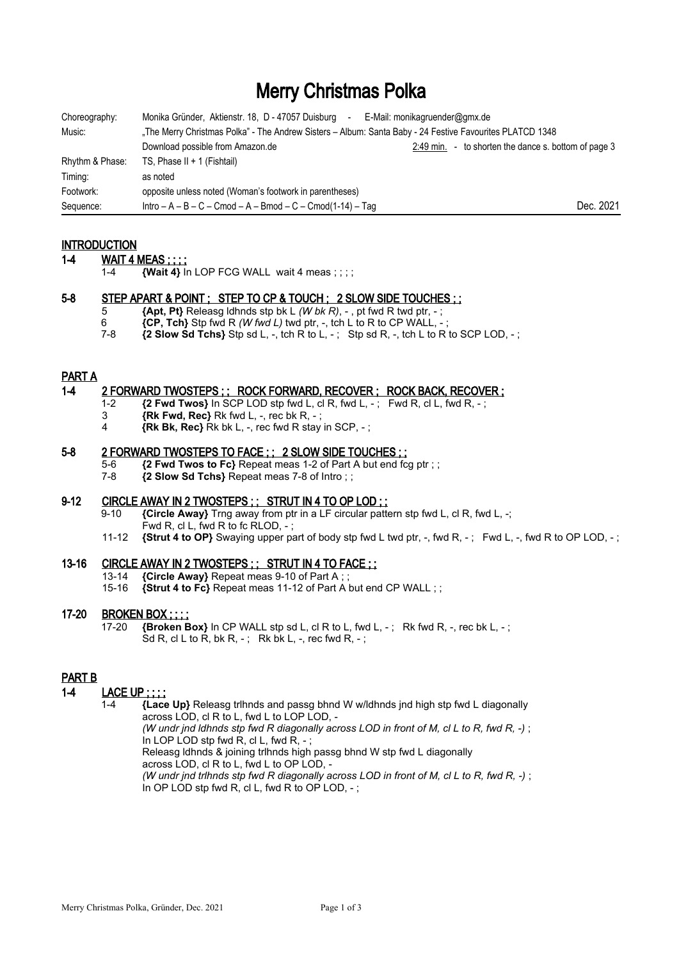# Merry Christmas Polka

| Choreography:   | Monika Gründer, Aktienstr. 18, D - 47057 Duisburg<br>E-Mail: monikagruender@gmx.de<br>$\sim$             |                                                      |
|-----------------|----------------------------------------------------------------------------------------------------------|------------------------------------------------------|
| Music:          | The Merry Christmas Polka" - The Andrew Sisters - Album: Santa Baby - 24 Festive Favourites PLATCD 1348, |                                                      |
|                 | Download possible from Amazon.de                                                                         | 2:49 min. - to shorten the dance s. bottom of page 3 |
| Rhythm & Phase: | TS, Phase II + 1 (Fishtail)                                                                              |                                                      |
| Timing:         | as noted                                                                                                 |                                                      |
| Footwork:       | opposite unless noted (Woman's footwork in parentheses)                                                  |                                                      |
| Sequence:       | $Intro - A - B - C - C$ mod $- A - B$ mod $- C - C$ mod $(1-14) - T$ ag                                  | Dec. 2021                                            |

## **INTRODUCTION**

- 1-4 **WAIT 4 MEAS** ; ; ; ;
	- 1-4 **{Wait 4}** In LOP FCG WALL wait 4 meas ; ; ; ;

#### 5-8 STEP APART & POINT ; STEP TO CP & TOUCH ; 2 SLOW SIDE TOUCHES ; ;

- 5 **{Apt, Pt}** Releasg ldhnds stp bk L *(W bk R)*, , pt fwd R twd ptr, ;
- 6  $\{CP, Tch\}$  Stp fwd R *(W fwd L)* twd ptr, -, tch L to R to CP WALL, -;<br>7-8  $\{2 \text{ Slow Sd Tchs} \}$  Stp sd L -, tch R to L ; Stp sd R -, tch L to R
- $\overline{2}$  **Slow Sd Tchs**  $\overline{3}$  Stp sd L, -, tch R to L, -; Stp sd R, -, tch L to R to SCP LOD, -;

#### PART A

#### 1-4 2 FORWARD TWOSTEPS ; ; ROCK FORWARD, RECOVER ; ROCK BACK, RECOVER ;

- 1-2 **{2 Fwd Twos}** In SCP LOD stp fwd L, cl R, fwd L, ; Fwd R, cl L, fwd R, ;
- 3 **{Rk Fwd, Rec}** Rk fwd L, -, rec bk R, ;
- 4 **{Rk Bk, Rec}** Rk bk L, -, rec fwd R stay in SCP, ;

#### 5-8 2 FORWARD TWOSTEPS TO FACE ; ; 2 SLOW SIDE TOUCHES : ;

- 5-6 **{2 Fwd Twos to Fc}** Repeat meas 1-2 of Part A but end fcg ptr;;
- 7-8 **{2 Slow Sd Tchs}** Repeat meas 7-8 of Intro ; ;

#### 9-12 CIRCLE AWAY IN 2 TWOSTEPS ; ; STRUT IN 4 TO OP LOD ; ;

9-10 **{Circle Away}** Trng away from ptr in a LF circular pattern stp fwd L, cl R, fwd L, -;

- Fwd R, cl L, fwd R to fc RLOD, ;
- 11-12 **{Strut 4 to OP}** Swaying upper part of body stp fwd L twd ptr, -, fwd R, ; Fwd L, -, fwd R to OP LOD, ;

## 13-16 CIRCLE AWAY IN 2 TWOSTEPS ; ; STRUT IN 4 TO FACE ; ;

- 13-14 **{Circle Away}** Repeat meas 9-10 of Part A ; ;
- 15-16 **{Strut 4 to Fc}** Repeat meas 11-12 of Part A but end CP WALL ; ;

#### 17-20 BROKEN BOX ; ; ; ;

17-20 **{Broken Box}** In CP WALL stp sd L, cl R to L, fwd L, -; Rk fwd R, -, rec bk L, -; Sd R, cl L to R, bk R,  $-$ ; Rk bk L,  $-$ , rec fwd R,  $-$ ;

## PART B

## 1-4 LACE UP ; ; ; ;

 1-4 **{Lace Up}** Releasg trlhnds and passg bhnd W w/ldhnds jnd high stp fwd L diagonally across LOD, cl R to L, fwd L to LOP LOD, - *(W undr jnd ldhnds stp fwd R diagonally across LOD in front of M, cl L to R, fwd R, -)* ; In LOP LOD stp fwd R, cl L, fwd R, - ; Releasg ldhnds & joining trlhnds high passg bhnd W stp fwd L diagonally across LOD, cl R to L, fwd L to OP LOD, - *(W undr jnd trlhnds stp fwd R diagonally across LOD in front of M, cl L to R, fwd R, -)* ; In OP LOD stp fwd R, cl L, fwd R to OP LOD, - ;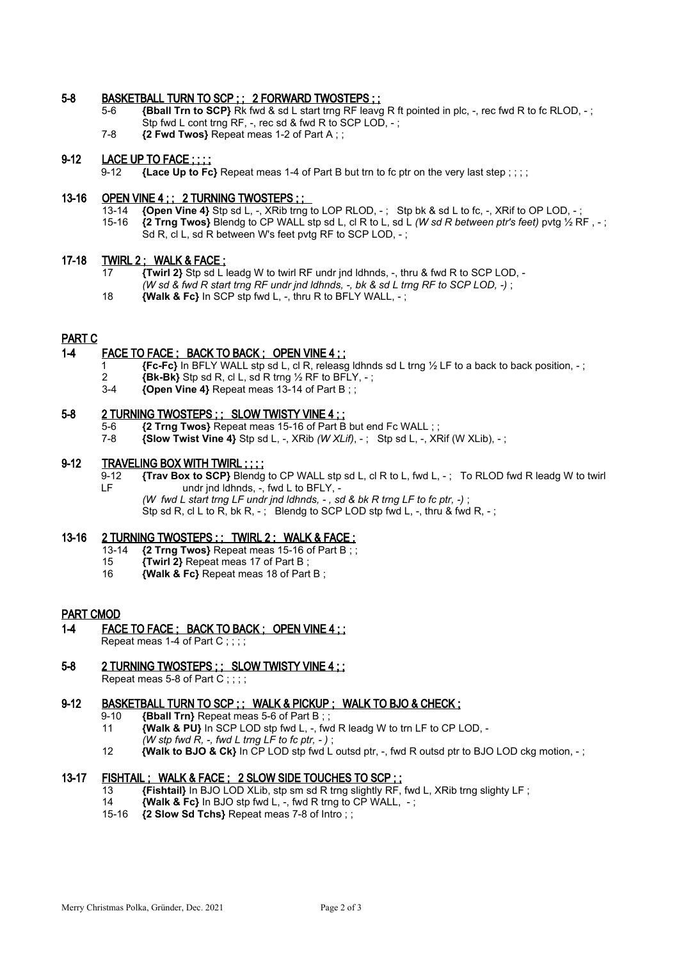## 5-8 BASKETBALL TURN TO SCP ; ; 2 FORWARD TWOSTEPS ; ;

- 5-6 **{Bball Trn to SCP}** Rk fwd & sd L start trng RF leavg R ft pointed in plc, -, rec fwd R to fc RLOD, -; Stp fwd L cont trng RF, -, rec sd & fwd R to SCP LOD, - ;
- 7-8 **{2 Fwd Twos}** Repeat meas 1-2 of Part A ; ;

#### 9-12 LACE UP TO FACE ::::

9-12 **{Lace Up to Fc}** Repeat meas 1-4 of Part B but trn to fc ptr on the very last step ; ; ; ;

#### 13-16 OPEN VINE 4 ; ; 2 TURNING TWOSTEPS ; ;

- 13-14 **{Open Vine 4}** Stp sd L, -, XRib trng to LOP RLOD, -; Stp bk & sd L to fc, -, XRif to OP LOD, -; 15-16 *{2}* Trng Twos} Blendg to CP WALL stp sd L cl R to L sd L *(W sd R between ptr's feet)* pytg % R
- 15-16 **{2 Trng Twos}** Blendg to CP WALL stp sd L, cl R to L, sd L *(W sd R between ptr's feet)* pvtg ½ RF , ; Sd R, cl L, sd R between W's feet pytg RF to SCP LOD, -:

#### 17-18 TWIRL 2; WALK & FACE;

- 17 **{Twirl 2}** Stp sd L leadg W to twirl RF undr jnd ldhnds, -, thru & fwd R to SCP LOD,
	- *(W sd & fwd R start trng RF undr jnd ldhnds, -, bk & sd L trng RF to SCP LOD, -)* ;
- 18 **{Walk & Fc}** In SCP stp fwd L, -, thru R to BFLY WALL, ;

#### PART C

#### 1-4 FACE TO FACE ; BACK TO BACK ; OPEN VINE 4 ; ;

- 1 **{Fc-Fc}** In BFLY WALL stp sd L, cl R, releasg ldhnds sd L trng ½ LF to a back to back position, ;
- 2 **{Bk-Bk}** Stp sd R, cl L, sd R trng ½ RF to BFLY, ;
- 3-4 **{Open Vine 4}** Repeat meas 13-14 of Part B ; ;

#### 5-8 2 TURNING TWOSTEPS ; ; SLOW TWISTY VINE 4 ; ;

- 5-6 **{2 Trng Twos}** Repeat meas 15-16 of Part B but end Fc WALL ; ;
- 7-8 **{Slow Twist Vine 4}** Stp sd L, -, XRib *(W XLif)*, ;Stp sd L, -, XRif (W XLib), ;

#### 9-12 TRAVELING BOX WITH TWIRL ; ; ; ;

9-12 **{Trav Box to SCP}** Blendg to CP WALL stp sd L, cl R to L, fwd L, -; To RLOD fwd R leadg W to twirl<br>LF undr ind ldhnds. -. fwd L to BFLY. undr jnd ldhnds, -, fwd L to BFLY, -

*(W fwd L start trng LF undr jnd ldhnds, - , sd & bk R trng LF to fc ptr, -)* ;

 $\frac{1}{2}$  or  $\frac{1}{2}$  and  $\frac{1}{2}$  and  $\frac{1}{2}$  in the function of  $\frac{1}{2}$  or  $\frac{1}{2}$  and  $\frac{1}{2}$  and  $\frac{1}{2}$  is  $\frac{1}{2}$  is  $\frac{1}{2}$  is  $\frac{1}{2}$  is  $\frac{1}{2}$  is  $\frac{1}{2}$  is  $\frac{1}{2}$  is  $\frac{1}{2}$  is  $\frac{1}{$ 

## 13-16 2 TURNING TWOSTEPS ; ; TWIRL 2 ; WALK & FACE ;

- 13-14 **{2 Trng Twos}** Repeat meas 15-16 of Part B ; ;
- 15 **{Twirl 2}** Repeat meas 17 of Part B ;
- 16 **{Walk & Fc}** Repeat meas 18 of Part B ;

#### **PART CMOD**

1-4 FACE TO FACE ; BACK TO BACK ; OPEN VINE 4 ; ; Repeat meas 1-4 of Part C;;;;

#### 5-8 2 TURNING TWOSTEPS ; ; SLOW TWISTY VINE 4 ; ;

Repeat meas 5-8 of Part C;;;;

#### 9-12 BASKETBALL TURN TO SCP ; ; WALK & PICKUP ; WALK TO BJO & CHECK ;

- 9-10 **{Bball Trn}** Repeat meas 5-6 of Part B ; ;
- 11 **{Walk & PU}** In SCP LOD stp fwd L, -, fwd R leadg W to trn LF to CP LOD, -
- *(W stp fwd R, -, fwd L trng LF to fc ptr, )* ;
- 12 **{Walk to BJO & Ck}** In CP LOD stp fwd L outsd ptr, -, fwd R outsd ptr to BJO LOD ckg motion, ;

## 13-17 FISHTAIL ; WALK & FACE ; 2 SLOW SIDE TOUCHES TO SCP ; ;

- 13 **{Fishtail}** In BJO LOD XLib, stp sm sd R trng slightly RF, fwd L, XRib trng slighty LF ;
- 14 **{Walk & Fc}** In BJO stp fwd L, -, fwd R trng to CP WALL, ;
- 15-16 **{2 Slow Sd Tchs}** Repeat meas 7-8 of Intro ; ;